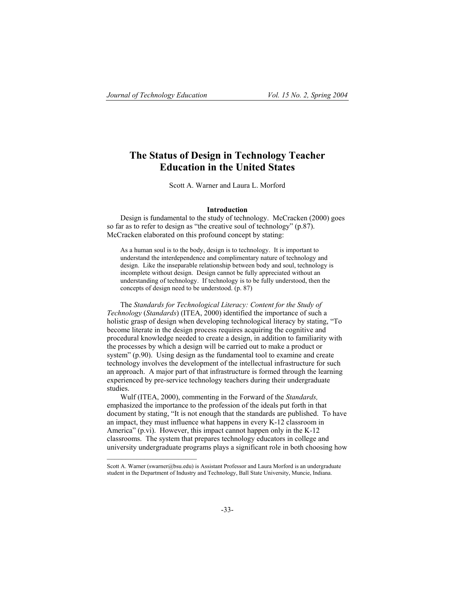# **The Status of Design in Technology Teacher Education in the United States**

Scott A. Warner and Laura L. Morford

### **Introduction**

Design is fundamental to the study of technology. McCracken (2000) goes so far as to refer to design as "the creative soul of technology" (p.87). McCracken elaborated on this profound concept by stating:

As a human soul is to the body, design is to technology. It is important to understand the interdependence and complimentary nature of technology and design. Like the inseparable relationship between body and soul, technology is incomplete without design. Design cannot be fully appreciated without an understanding of technology. If technology is to be fully understood, then the concepts of design need to be understood. (p. 87)

The *Standards for Technological Literacy: Content for the Study of Technology* (*Standards*) (ITEA, 2000) identified the importance of such a holistic grasp of design when developing technological literacy by stating, "To become literate in the design process requires acquiring the cognitive and procedural knowledge needed to create a design, in addition to familiarity with the processes by which a design will be carried out to make a product or system" (p.90). Using design as the fundamental tool to examine and create technology involves the development of the intellectual infrastructure for such an approach. A major part of that infrastructure is formed through the learning experienced by pre-service technology teachers during their undergraduate studies.

Wulf (ITEA, 2000), commenting in the Forward of the *Standards,* emphasized the importance to the profession of the ideals put forth in that document by stating, "It is not enough that the standards are published. To have an impact, they must influence what happens in every K-12 classroom in America" (p.vi). However, this impact cannot happen only in the K-12 classrooms. The system that prepares technology educators in college and university undergraduate programs plays a significant role in both choosing how

Scott A. Warner (swarner@bsu.edu) is Assistant Professor and Laura Morford is an undergraduate student in the Department of Industry and Technology, Ball State University, Muncie, Indiana.

 $\mathcal{L}_\text{max}$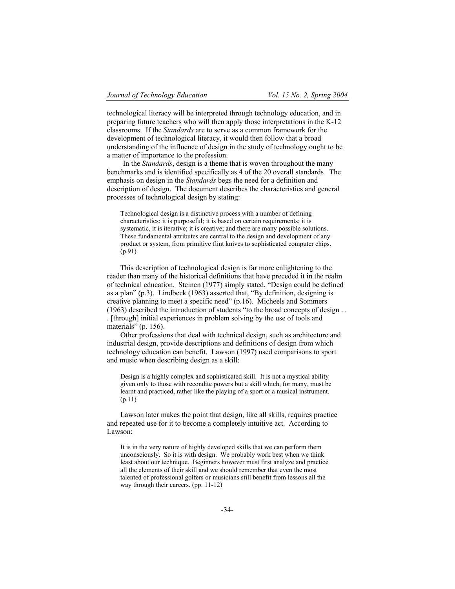technological literacy will be interpreted through technology education, and in preparing future teachers who will then apply those interpretations in the K-12 classrooms. If the *Standards* are to serve as a common framework for the development of technological literacy, it would then follow that a broad understanding of the influence of design in the study of technology ought to be a matter of importance to the profession.

 In the *Standards*, design is a theme that is woven throughout the many benchmarks and is identified specifically as 4 of the 20 overall standards The emphasis on design in the *Standards* begs the need for a definition and description of design. The document describes the characteristics and general processes of technological design by stating:

Technological design is a distinctive process with a number of defining characteristics: it is purposeful; it is based on certain requirements; it is systematic, it is iterative; it is creative; and there are many possible solutions. These fundamental attributes are central to the design and development of any product or system, from primitive flint knives to sophisticated computer chips. (p.91)

This description of technological design is far more enlightening to the reader than many of the historical definitions that have preceded it in the realm of technical education. Steinen (1977) simply stated, "Design could be defined as a plan" (p.3). Lindbeck (1963) asserted that, "By definition, designing is creative planning to meet a specific need" (p.16). Micheels and Sommers (1963) described the introduction of students "to the broad concepts of design . . . [through] initial experiences in problem solving by the use of tools and materials" (p. 156).

Other professions that deal with technical design, such as architecture and industrial design, provide descriptions and definitions of design from which technology education can benefit. Lawson (1997) used comparisons to sport and music when describing design as a skill:

Design is a highly complex and sophisticated skill. It is not a mystical ability given only to those with recondite powers but a skill which, for many, must be learnt and practiced, rather like the playing of a sport or a musical instrument. (p.11)

Lawson later makes the point that design, like all skills, requires practice and repeated use for it to become a completely intuitive act. According to Lawson:

It is in the very nature of highly developed skills that we can perform them unconsciously. So it is with design. We probably work best when we think least about our technique. Beginners however must first analyze and practice all the elements of their skill and we should remember that even the most talented of professional golfers or musicians still benefit from lessons all the way through their careers. (pp. 11-12)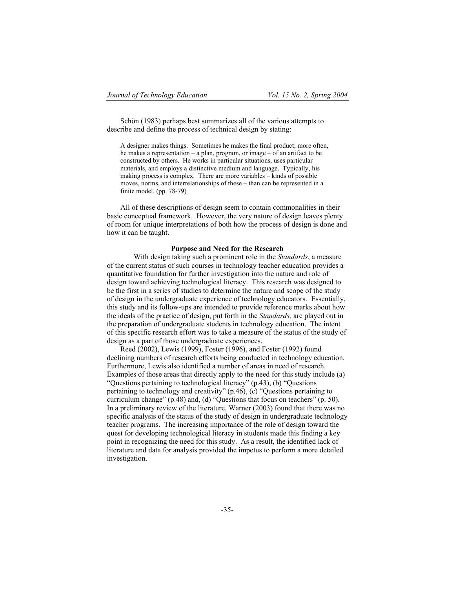Schön (1983) perhaps best summarizes all of the various attempts to describe and define the process of technical design by stating:

A designer makes things. Sometimes he makes the final product; more often, he makes a representation – a plan, program, or image – of an artifact to be constructed by others. He works in particular situations, uses particular materials, and employs a distinctive medium and language. Typically, his making process is complex. There are more variables – kinds of possible moves, norms, and interrelationships of these – than can be represented in a finite model. (pp. 78-79)

All of these descriptions of design seem to contain commonalities in their basic conceptual framework. However, the very nature of design leaves plenty of room for unique interpretations of both how the process of design is done and how it can be taught.

#### **Purpose and Need for the Research**

With design taking such a prominent role in the *Standards*, a measure of the current status of such courses in technology teacher education provides a quantitative foundation for further investigation into the nature and role of design toward achieving technological literacy. This research was designed to be the first in a series of studies to determine the nature and scope of the study of design in the undergraduate experience of technology educators. Essentially, this study and its follow-ups are intended to provide reference marks about how the ideals of the practice of design, put forth in the *Standards,* are played out in the preparation of undergraduate students in technology education. The intent of this specific research effort was to take a measure of the status of the study of design as a part of those undergraduate experiences.

Reed (2002), Lewis (1999), Foster (1996), and Foster (1992) found declining numbers of research efforts being conducted in technology education. Furthermore, Lewis also identified a number of areas in need of research. Examples of those areas that directly apply to the need for this study include (a) "Questions pertaining to technological literacy" (p.43), (b) "Questions pertaining to technology and creativity" (p.46), (c) "Questions pertaining to curriculum change" (p.48) and, (d) "Questions that focus on teachers" (p. 50). In a preliminary review of the literature, Warner (2003) found that there was no specific analysis of the status of the study of design in undergraduate technology teacher programs. The increasing importance of the role of design toward the quest for developing technological literacy in students made this finding a key point in recognizing the need for this study. As a result, the identified lack of literature and data for analysis provided the impetus to perform a more detailed investigation.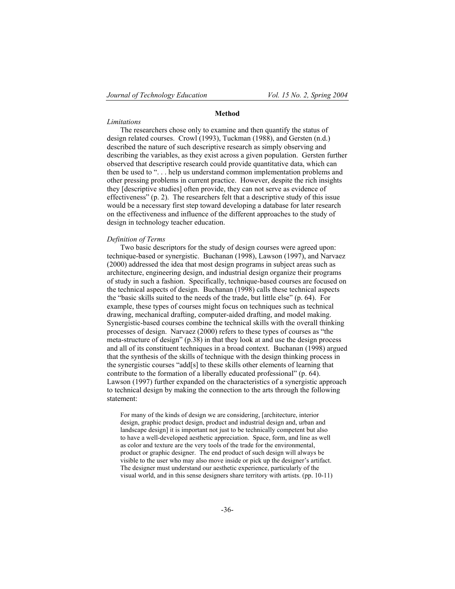#### **Method**

#### *Limitations*

The researchers chose only to examine and then quantify the status of design related courses. Crowl (1993), Tuckman (1988), and Gersten (n.d.) described the nature of such descriptive research as simply observing and describing the variables, as they exist across a given population. Gersten further observed that descriptive research could provide quantitative data, which can then be used to ". . . help us understand common implementation problems and other pressing problems in current practice. However, despite the rich insights they [descriptive studies] often provide, they can not serve as evidence of effectiveness" (p. 2). The researchers felt that a descriptive study of this issue would be a necessary first step toward developing a database for later research on the effectiveness and influence of the different approaches to the study of design in technology teacher education.

#### *Definition of Terms*

Two basic descriptors for the study of design courses were agreed upon: technique-based or synergistic. Buchanan (1998), Lawson (1997), and Narvaez (2000) addressed the idea that most design programs in subject areas such as architecture, engineering design, and industrial design organize their programs of study in such a fashion. Specifically, technique-based courses are focused on the technical aspects of design. Buchanan (1998) calls these technical aspects the "basic skills suited to the needs of the trade, but little else" (p. 64). For example, these types of courses might focus on techniques such as technical drawing, mechanical drafting, computer-aided drafting, and model making. Synergistic-based courses combine the technical skills with the overall thinking processes of design. Narvaez (2000) refers to these types of courses as "the meta-structure of design" (p.38) in that they look at and use the design process and all of its constituent techniques in a broad context. Buchanan (1998) argued that the synthesis of the skills of technique with the design thinking process in the synergistic courses "add[s] to these skills other elements of learning that contribute to the formation of a liberally educated professional" (p. 64). Lawson (1997) further expanded on the characteristics of a synergistic approach to technical design by making the connection to the arts through the following statement:

For many of the kinds of design we are considering, [architecture, interior design, graphic product design, product and industrial design and, urban and landscape design] it is important not just to be technically competent but also to have a well-developed aesthetic appreciation. Space, form, and line as well as color and texture are the very tools of the trade for the environmental, product or graphic designer. The end product of such design will always be visible to the user who may also move inside or pick up the designer's artifact. The designer must understand our aesthetic experience, particularly of the visual world, and in this sense designers share territory with artists. (pp. 10-11)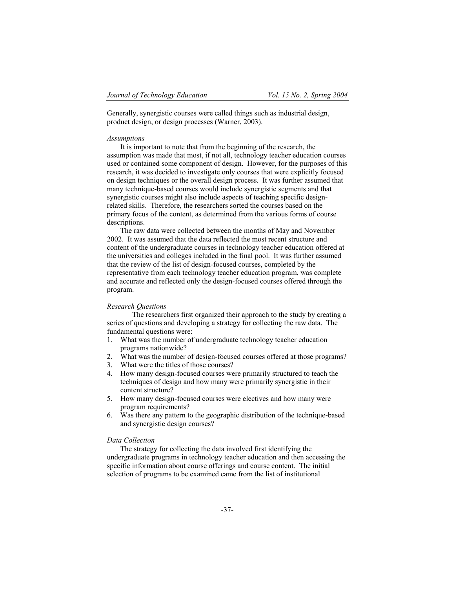Generally, synergistic courses were called things such as industrial design, product design, or design processes (Warner, 2003).

#### *Assumptions*

It is important to note that from the beginning of the research, the assumption was made that most, if not all, technology teacher education courses used or contained some component of design. However, for the purposes of this research, it was decided to investigate only courses that were explicitly focused on design techniques or the overall design process. It was further assumed that many technique-based courses would include synergistic segments and that synergistic courses might also include aspects of teaching specific designrelated skills. Therefore, the researchers sorted the courses based on the primary focus of the content, as determined from the various forms of course descriptions.

The raw data were collected between the months of May and November 2002. It was assumed that the data reflected the most recent structure and content of the undergraduate courses in technology teacher education offered at the universities and colleges included in the final pool. It was further assumed that the review of the list of design-focused courses, completed by the representative from each technology teacher education program, was complete and accurate and reflected only the design-focused courses offered through the program.

### *Research Questions*

The researchers first organized their approach to the study by creating a series of questions and developing a strategy for collecting the raw data. The fundamental questions were:

- 1. What was the number of undergraduate technology teacher education programs nationwide?
- 2. What was the number of design-focused courses offered at those programs?
- 3. What were the titles of those courses?
- 4. How many design-focused courses were primarily structured to teach the techniques of design and how many were primarily synergistic in their content structure?
- 5. How many design-focused courses were electives and how many were program requirements?
- 6. Was there any pattern to the geographic distribution of the technique-based and synergistic design courses?

## *Data Collection*

The strategy for collecting the data involved first identifying the undergraduate programs in technology teacher education and then accessing the specific information about course offerings and course content. The initial selection of programs to be examined came from the list of institutional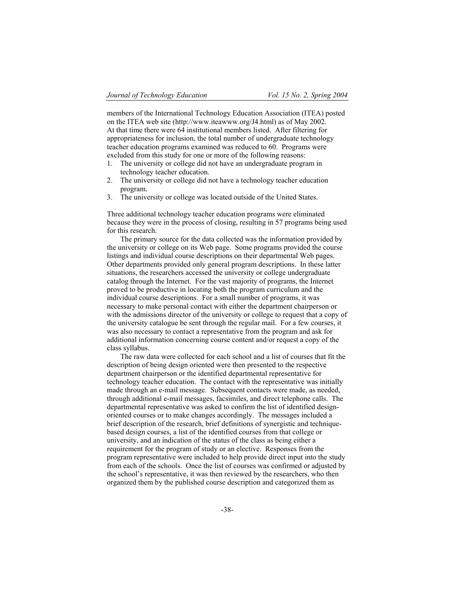members of the International Technology Education Association (ITEA) posted on the ITEA web site (http://www.iteawww.org/J4.html) as of May 2002. At that time there were 64 institutional members listed. After filtering for appropriateness for inclusion, the total number of undergraduate technology teacher education programs examined was reduced to 60. Programs were excluded from this study for one or more of the following reasons:

- 1. The university or college did not have an undergraduate program in technology teacher education.
- 2. The university or college did not have a technology teacher education program.
- 3. The university or college was located outside of the United States.

Three additional technology teacher education programs were eliminated because they were in the process of closing, resulting in 57 programs being used for this research.

The primary source for the data collected was the information provided by the university or college on its Web page. Some programs provided the course listings and individual course descriptions on their departmental Web pages. Other departments provided only general program descriptions. In these latter situations, the researchers accessed the university or college undergraduate catalog through the Internet. For the vast majority of programs, the Internet proved to be productive in locating both the program curriculum and the individual course descriptions. For a small number of programs, it was necessary to make personal contact with either the department chairperson or with the admissions director of the university or college to request that a copy of the university catalogue be sent through the regular mail. For a few courses, it was also necessary to contact a representative from the program and ask for additional information concerning course content and/or request a copy of the class syllabus.

The raw data were collected for each school and a list of courses that fit the description of being design oriented were then presented to the respective department chairperson or the identified departmental representative for technology teacher education. The contact with the representative was initially made through an e-mail message. Subsequent contacts were made, as needed, through additional e-mail messages, facsimiles, and direct telephone calls. The departmental representative was asked to confirm the list of identified designoriented courses or to make changes accordingly. The messages included a brief description of the research, brief definitions of synergistic and techniquebased design courses, a list of the identified courses from that college or university, and an indication of the status of the class as being either a requirement for the program of study or an elective. Responses from the program representative were included to help provide direct input into the study from each of the schools. Once the list of courses was confirmed or adjusted by the school's representative, it was then reviewed by the researchers, who then organized them by the published course description and categorized them as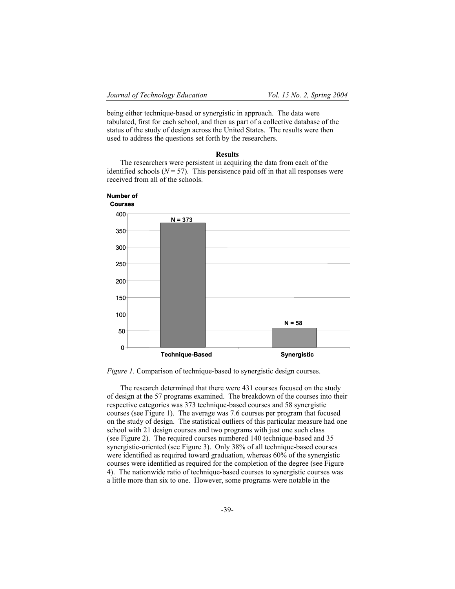being either technique-based or synergistic in approach. The data were tabulated, first for each school, and then as part of a collective database of the status of the study of design across the United States. The results were then used to address the questions set forth by the researchers.

#### **Results**

The researchers were persistent in acquiring the data from each of the identified schools  $(N = 57)$ . This persistence paid off in that all responses were received from all of the schools.



*Figure 1.* Comparison of technique-based to synergistic design courses.

The research determined that there were 431 courses focused on the study of design at the 57 programs examined. The breakdown of the courses into their respective categories was 373 technique-based courses and 58 synergistic courses (see Figure 1). The average was 7.6 courses per program that focused on the study of design. The statistical outliers of this particular measure had one school with 21 design courses and two programs with just one such class (see Figure 2). The required courses numbered 140 technique-based and 35 synergistic-oriented (see Figure 3). Only 38% of all technique-based courses were identified as required toward graduation, whereas 60% of the synergistic courses were identified as required for the completion of the degree (see Figure 4). The nationwide ratio of technique-based courses to synergistic courses was a little more than six to one. However, some programs were notable in the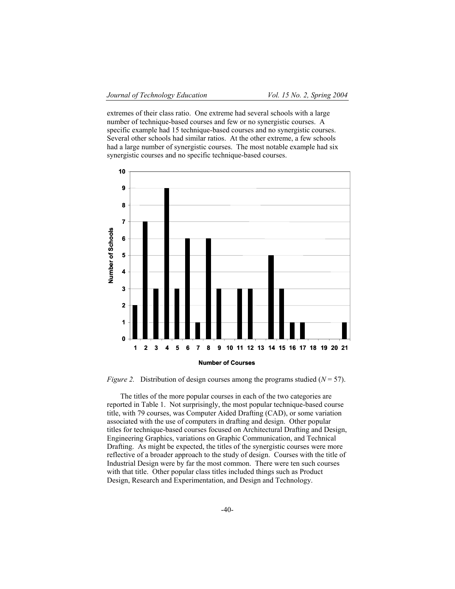extremes of their class ratio. One extreme had several schools with a large number of technique-based courses and few or no synergistic courses. A specific example had 15 technique-based courses and no synergistic courses. Several other schools had similar ratios. At the other extreme, a few schools had a large number of synergistic courses. The most notable example had six synergistic courses and no specific technique-based courses.



*Figure 2.* Distribution of design courses among the programs studied  $(N = 57)$ .

The titles of the more popular courses in each of the two categories are reported in Table 1. Not surprisingly, the most popular technique-based course title, with 79 courses, was Computer Aided Drafting (CAD), or some variation associated with the use of computers in drafting and design. Other popular titles for technique-based courses focused on Architectural Drafting and Design, Engineering Graphics, variations on Graphic Communication, and Technical Drafting. As might be expected, the titles of the synergistic courses were more reflective of a broader approach to the study of design. Courses with the title of Industrial Design were by far the most common. There were ten such courses with that title. Other popular class titles included things such as Product Design, Research and Experimentation, and Design and Technology.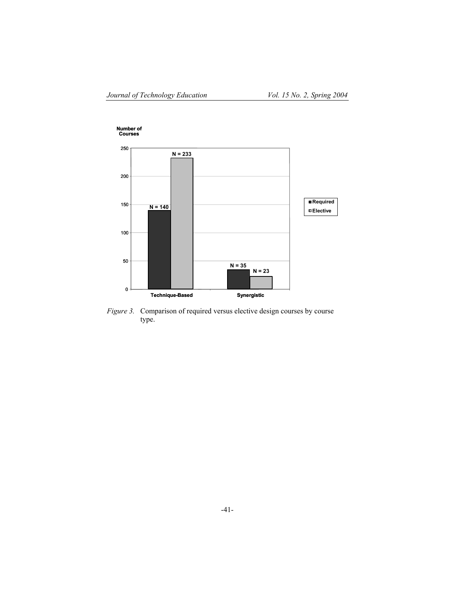

*Figure 3.* Comparison of required versus elective design courses by course type.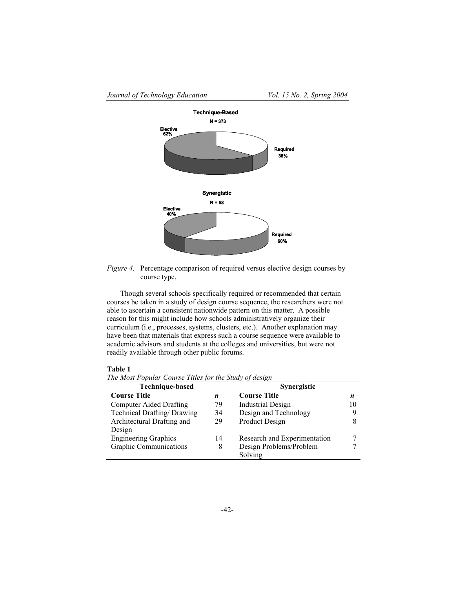

*Figure 4.* Percentage comparison of required versus elective design courses by course type.

Though several schools specifically required or recommended that certain courses be taken in a study of design course sequence, the researchers were not able to ascertain a consistent nationwide pattern on this matter. A possible reason for this might include how schools administratively organize their curriculum (i.e., processes, systems, clusters, etc.). Another explanation may have been that materials that express such a course sequence were available to academic advisors and students at the colleges and universities, but were not readily available through other public forums.

## **Table 1**

*The Most Popular Course Titles for the Study of design* 

| Technique-based                |    | <b>Synergistic</b>           |    |
|--------------------------------|----|------------------------------|----|
| <b>Course Title</b>            | n  | <b>Course Title</b>          | n  |
| <b>Computer Aided Drafting</b> | 79 | <b>Industrial Design</b>     | 10 |
| Technical Drafting/Drawing     | 34 | Design and Technology        |    |
| Architectural Drafting and     | 29 | Product Design               |    |
| Design                         |    |                              |    |
| <b>Engineering Graphics</b>    | 14 | Research and Experimentation |    |
| Graphic Communications         | 8  | Design Problems/Problem      |    |
|                                |    | Solving                      |    |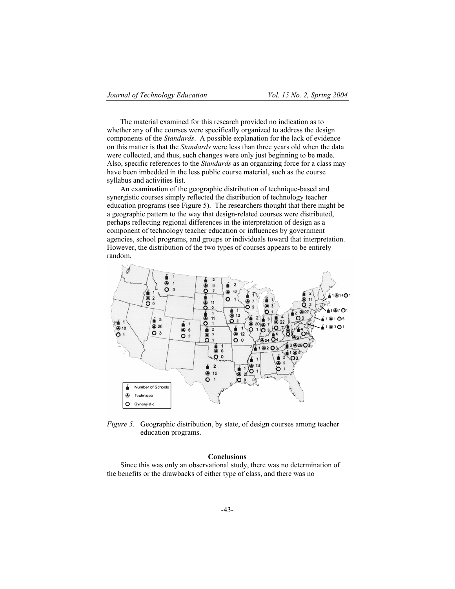The material examined for this research provided no indication as to whether any of the courses were specifically organized to address the design components of the *Standards*. A possible explanation for the lack of evidence on this matter is that the *Standards* were less than three years old when the data were collected, and thus, such changes were only just beginning to be made. Also, specific references to the *Standards* as an organizing force for a class may have been imbedded in the less public course material, such as the course syllabus and activities list.

An examination of the geographic distribution of technique-based and synergistic courses simply reflected the distribution of technology teacher education programs (see Figure 5). The researchers thought that there might be a geographic pattern to the way that design-related courses were distributed, perhaps reflecting regional differences in the interpretation of design as a component of technology teacher education or influences by government agencies, school programs, and groups or individuals toward that interpretation. However, the distribution of the two types of courses appears to be entirely random.



*Figure 5.* Geographic distribution, by state, of design courses among teacher education programs.

## **Conclusions**

Since this was only an observational study, there was no determination of the benefits or the drawbacks of either type of class, and there was no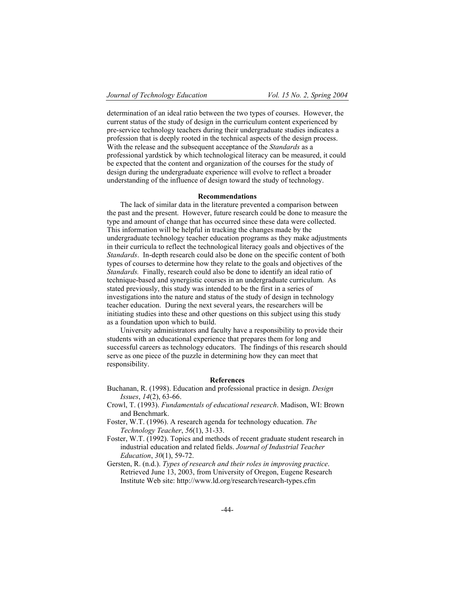determination of an ideal ratio between the two types of courses. However, the current status of the study of design in the curriculum content experienced by pre-service technology teachers during their undergraduate studies indicates a profession that is deeply rooted in the technical aspects of the design process. With the release and the subsequent acceptance of the *Standards* as a professional yardstick by which technological literacy can be measured, it could be expected that the content and organization of the courses for the study of design during the undergraduate experience will evolve to reflect a broader understanding of the influence of design toward the study of technology.

#### **Recommendations**

The lack of similar data in the literature prevented a comparison between the past and the present. However, future research could be done to measure the type and amount of change that has occurred since these data were collected. This information will be helpful in tracking the changes made by the undergraduate technology teacher education programs as they make adjustments in their curricula to reflect the technological literacy goals and objectives of the *Standards*. In-depth research could also be done on the specific content of both types of courses to determine how they relate to the goals and objectives of the *Standards.* Finally, research could also be done to identify an ideal ratio of technique-based and synergistic courses in an undergraduate curriculum. As stated previously, this study was intended to be the first in a series of investigations into the nature and status of the study of design in technology teacher education. During the next several years, the researchers will be initiating studies into these and other questions on this subject using this study as a foundation upon which to build.

University administrators and faculty have a responsibility to provide their students with an educational experience that prepares them for long and successful careers as technology educators. The findings of this research should serve as one piece of the puzzle in determining how they can meet that responsibility.

#### **References**

- Buchanan, R. (1998). Education and professional practice in design. *Design Issues*, *14*(2), 63-66.
- Crowl, T. (1993). *Fundamentals of educational research*. Madison, WI: Brown and Benchmark.
- Foster, W.T. (1996). A research agenda for technology education. *The Technology Teacher*, *56*(1), 31-33.
- Foster, W.T. (1992). Topics and methods of recent graduate student research in industrial education and related fields. *Journal of Industrial Teacher Education*, *30*(1), 59-72.
- Gersten, R. (n.d.). *Types of research and their roles in improving practice*. Retrieved June 13, 2003, from University of Oregon, Eugene Research Institute Web site: http://www.ld.org/research/research-types.cfm